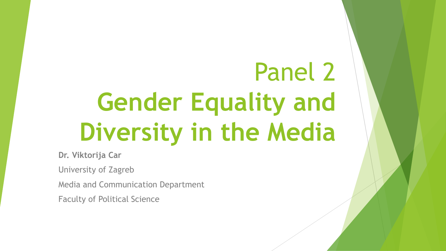## Panel 2 **Gender Equality and Diversity in the Media**

**Dr. Viktorija Car**

University of Zagreb

Media and Communication Department

Faculty of Political Science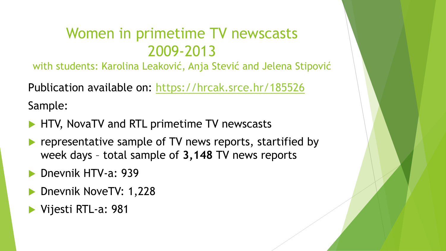### Women in primetime TV newscasts 2009-2013

with students: Karolina Leaković, Anja Stević and Jelena Stipović

Publication available on:<https://hrcak.srce.hr/185526> Sample:

- HTV, NovaTV and RTL primetime TV newscasts
- representative sample of TV news reports, startified by week days – total sample of **3,148** TV news reports
- Dnevnik HTV-a: 939
- Dnevnik NoveTV: 1,228
- Vijesti RTL-a: 981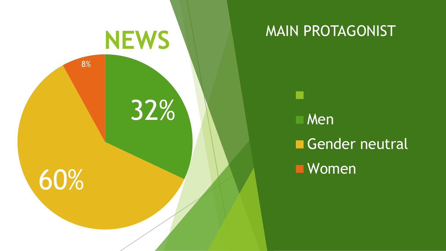

### MAIN PROTAGONIST

Men Gender neutral **Nomen**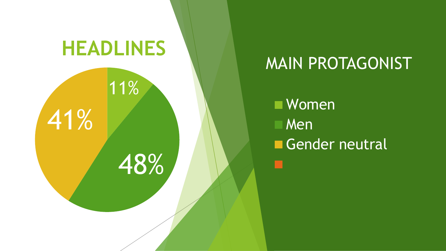

### MAIN PROTAGONIST

Women Men Gender neutral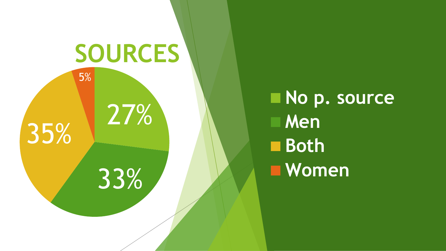

**No p. source Men Both Women**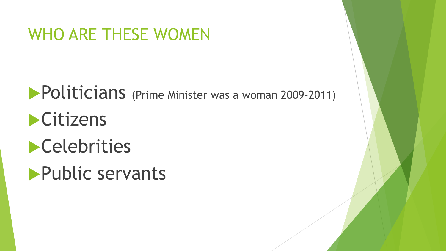### WHO ARE THESE WOMEN

**Politicians** (Prime Minister was a woman 2009-2011) **Citizens Celebrities** 

**Public servants**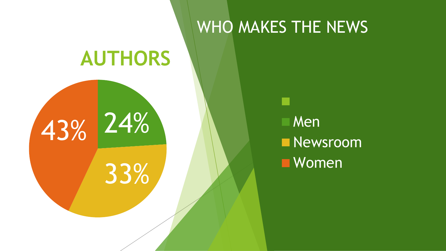# 24% 33% 43% **AUTHORS**

WHO MAKES THE NEWS

**Men Newsroom Nomen**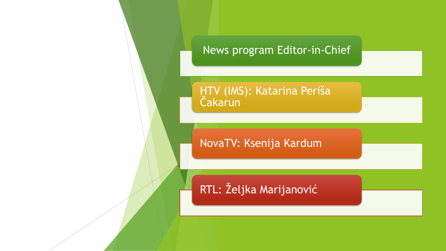

HTV (IMS): Katarina Periša Čakarun

NovaTV: Ksenija Kardum

RTL: Željka Marijanović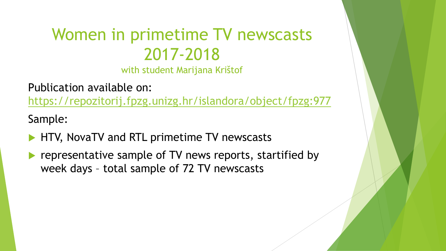### Women in primetime TV newscasts 2017-2018

with student Marijana Krištof

Publication available on: <https://repozitorij.fpzg.unizg.hr/islandora/object/fpzg:977>

Sample:

- HTV, NovaTV and RTL primetime TV newscasts
- representative sample of TV news reports, startified by week days – total sample of 72 TV newscasts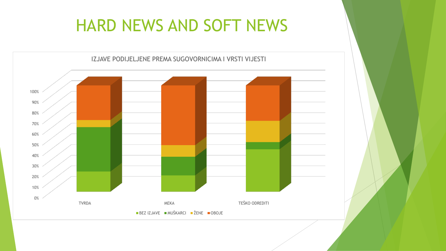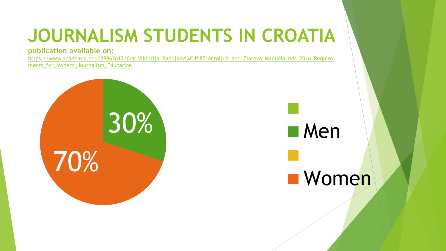### **JOURNALISM STUDENTS IN CROATIA**

#### **publication available on:**

[https://www.academia.edu/29963612/Car\\_Viktorija\\_Radojkovi%C4%87\\_Miroljub\\_and\\_Zlateva\\_Manuela\\_eds\\_2016\\_Require](https://www.academia.edu/29963612/Car_Viktorija_Radojkovi%C4%87_Miroljub_and_Zlateva_Manuela_eds_2016_Requirements_for_Modern_Journalism_Education) ments for Modern Journalism Education